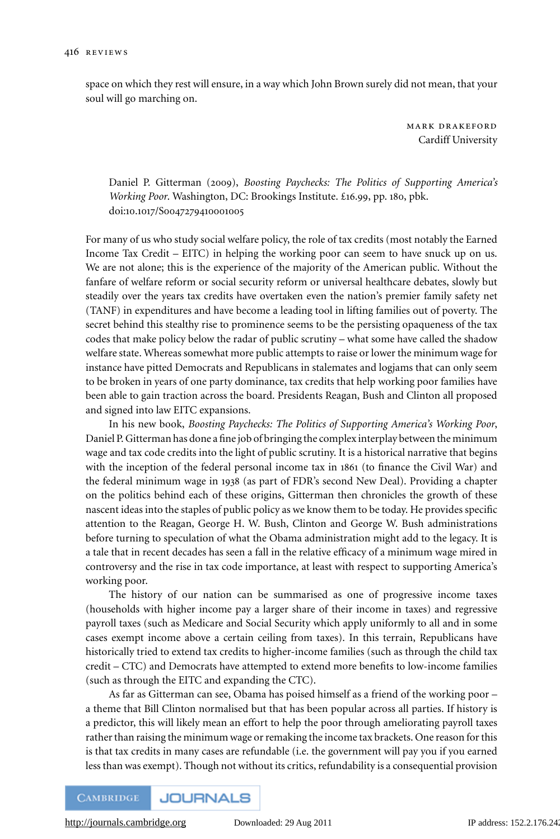space on which they rest will ensure, in a way which John Brown surely did not mean, that your soul will go marching on.

> mark drakeford Cardiff University

Daniel P. Gitterman (2009), *Boosting Paychecks: The Politics of Supporting America's Working Poor*. Washington, DC: Brookings Institute. £16.99, pp. 180, pbk. doi:10.1017/S0047279410001005

For many of us who study social welfare policy, the role of tax credits (most notably the Earned Income Tax Credit – EITC) in helping the working poor can seem to have snuck up on us. We are not alone; this is the experience of the majority of the American public. Without the fanfare of welfare reform or social security reform or universal healthcare debates, slowly but steadily over the years tax credits have overtaken even the nation's premier family safety net (TANF) in expenditures and have become a leading tool in lifting families out of poverty. The secret behind this stealthy rise to prominence seems to be the persisting opaqueness of the tax codes that make policy below the radar of public scrutiny – what some have called the shadow welfare state. Whereas somewhat more public attempts to raise or lower the minimum wage for instance have pitted Democrats and Republicans in stalemates and logjams that can only seem to be broken in years of one party dominance, tax credits that help working poor families have been able to gain traction across the board. Presidents Reagan, Bush and Clinton all proposed and signed into law EITC expansions.

In his new book, *Boosting Paychecks: The Politics of Supporting America's Working Poor*, Daniel P. Gitterman has done a fine job of bringing the complex interplay between the minimum wage and tax code credits into the light of public scrutiny. It is a historical narrative that begins with the inception of the federal personal income tax in 1861 (to finance the Civil War) and the federal minimum wage in 1938 (as part of FDR's second New Deal). Providing a chapter on the politics behind each of these origins, Gitterman then chronicles the growth of these nascent ideas into the staples of public policy as we know them to be today. He provides specific attention to the Reagan, George H. W. Bush, Clinton and George W. Bush administrations before turning to speculation of what the Obama administration might add to the legacy. It is a tale that in recent decades has seen a fall in the relative efficacy of a minimum wage mired in controversy and the rise in tax code importance, at least with respect to supporting America's working poor.

The history of our nation can be summarised as one of progressive income taxes (households with higher income pay a larger share of their income in taxes) and regressive payroll taxes (such as Medicare and Social Security which apply uniformly to all and in some cases exempt income above a certain ceiling from taxes). In this terrain, Republicans have historically tried to extend tax credits to higher-income families (such as through the child tax credit – CTC) and Democrats have attempted to extend more benefits to low-income families (such as through the EITC and expanding the CTC).

As far as Gitterman can see, Obama has poised himself as a friend of the working poor – a theme that Bill Clinton normalised but that has been popular across all parties. If history is a predictor, this will likely mean an effort to help the poor through ameliorating payroll taxes rather than raising the minimum wage or remaking the income tax brackets. One reason for this is that tax credits in many cases are refundable (i.e. the government will pay you if you earned less than was exempt). Though not without its critics, refundability is a consequential provision

**JOURNALS CAMBRIDGE**